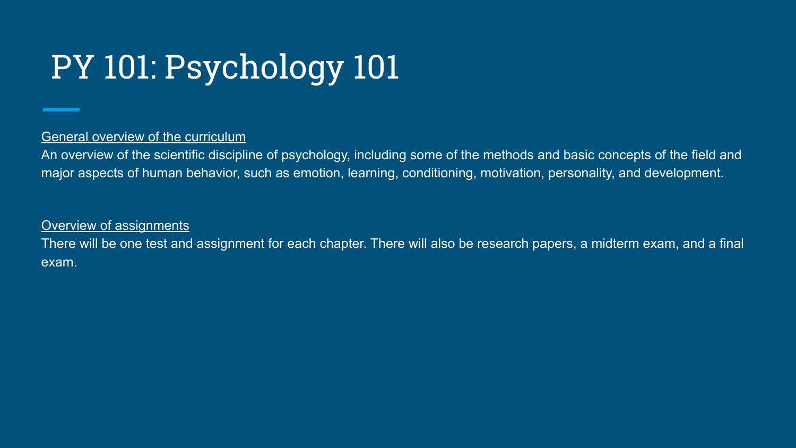## PY 101: Psychology 101

### General overview of the curriculum

An overview of the scientific discipline of psychology, including some of the methods and basic concepts of the field and major aspects of human behavior, such as emotion, learning, conditioning, motivation, personality, and development.

### Overview of assignments

There will be one test and assignment for each chapter. There will also be research papers, a midterm exam, and a final exam.